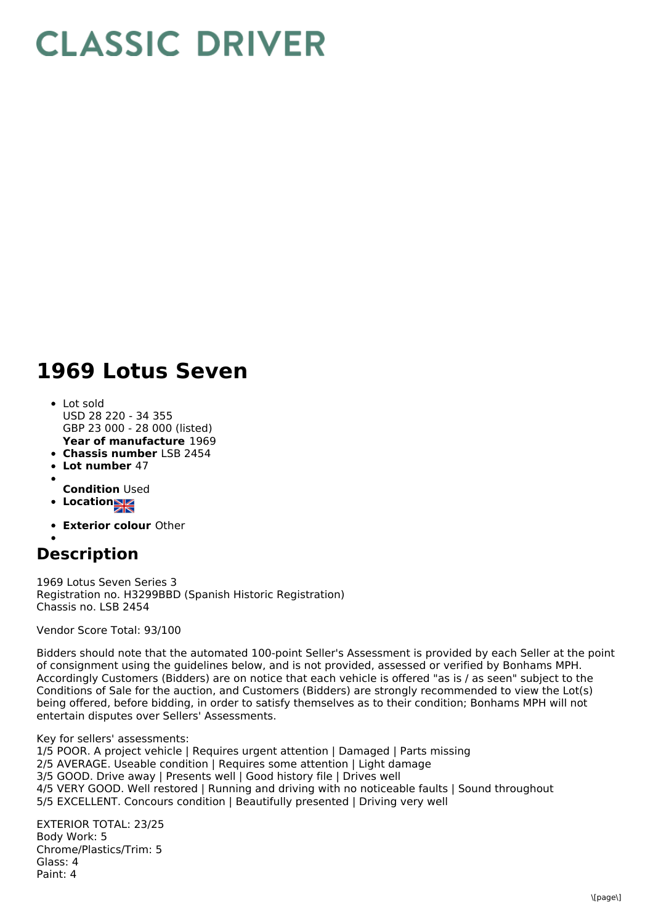## **CLASSIC DRIVER**

## **1969 Lotus Seven**

- **Year of manufacture** 1969 • Lot sold USD 28 220 - 34 355 GBP 23 000 - 28 000 (listed)
- **Chassis number** LSB 2454
- **Lot number** 47
- 
- **Condition** Used
- **Location**
- **Exterior colour** Other

## **Description**

1969 Lotus Seven Series 3 Registration no. H3299BBD (Spanish Historic Registration) Chassis no. LSB 2454

Vendor Score Total: 93/100

Bidders should note that the automated 100-point Seller's Assessment is provided by each Seller at the point of consignment using the guidelines below, and is not provided, assessed or verified by Bonhams MPH. Accordingly Customers (Bidders) are on notice that each vehicle is offered "as is / as seen" subject to the Conditions of Sale for the auction, and Customers (Bidders) are strongly recommended to view the Lot(s) being offered, before bidding, in order to satisfy themselves as to their condition; Bonhams MPH will not entertain disputes over Sellers' Assessments.

Key for sellers' assessments:

1/5 POOR. A project vehicle | Requires urgent attention | Damaged | Parts missing 2/5 AVERAGE. Useable condition | Requires some attention | Light damage 3/5 GOOD. Drive away | Presents well | Good history file | Drives well 4/5 VERY GOOD. Well restored | Running and driving with no noticeable faults | Sound throughout 5/5 EXCELLENT. Concours condition | Beautifully presented | Driving very well

EXTERIOR TOTAL: 23/25 Body Work: 5 Chrome/Plastics/Trim: 5 Glass: 4 Paint: 4